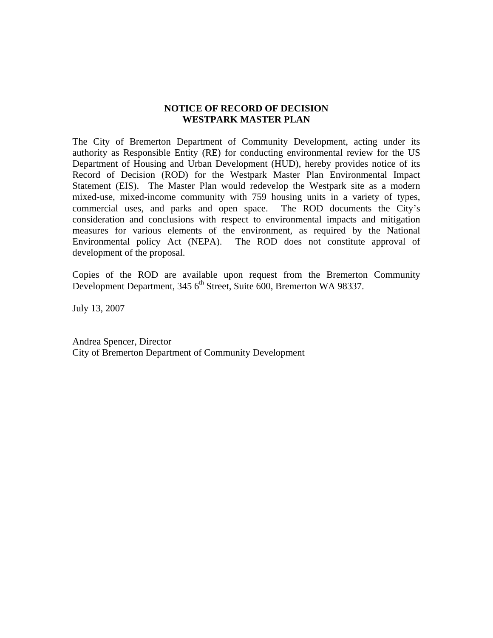# **NOTICE OF RECORD OF DECISION WESTPARK MASTER PLAN**

The City of Bremerton Department of Community Development, acting under its authority as Responsible Entity (RE) for conducting environmental review for the US Department of Housing and Urban Development (HUD), hereby provides notice of its Record of Decision (ROD) for the Westpark Master Plan Environmental Impact Statement (EIS). The Master Plan would redevelop the Westpark site as a modern mixed-use, mixed-income community with 759 housing units in a variety of types, commercial uses, and parks and open space. The ROD documents the City's consideration and conclusions with respect to environmental impacts and mitigation measures for various elements of the environment, as required by the National Environmental policy Act (NEPA). The ROD does not constitute approval of development of the proposal.

Copies of the ROD are available upon request from the Bremerton Community Development Department, 345 6<sup>th</sup> Street, Suite 600, Bremerton WA 98337.

July 13, 2007

Andrea Spencer, Director City of Bremerton Department of Community Development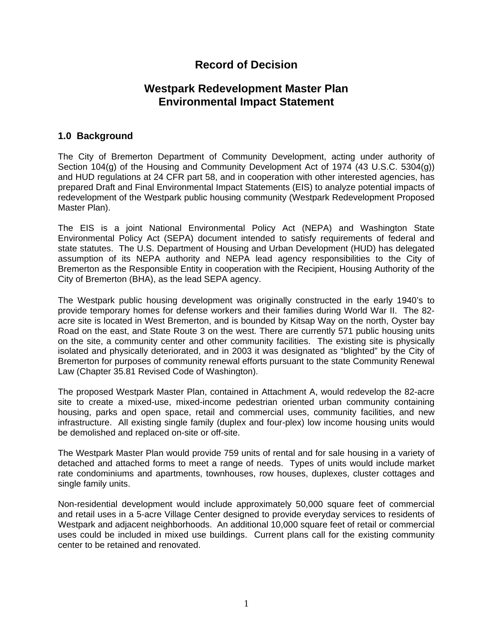# **Record of Decision**

# **Westpark Redevelopment Master Plan Environmental Impact Statement**

# **1.0 Background**

The City of Bremerton Department of Community Development, acting under authority of Section 104(g) of the Housing and Community Development Act of 1974 (43 U.S.C. 5304(g)) and HUD regulations at 24 CFR part 58, and in cooperation with other interested agencies, has prepared Draft and Final Environmental Impact Statements (EIS) to analyze potential impacts of redevelopment of the Westpark public housing community (Westpark Redevelopment Proposed Master Plan).

The EIS is a joint National Environmental Policy Act (NEPA) and Washington State Environmental Policy Act (SEPA) document intended to satisfy requirements of federal and state statutes. The U.S. Department of Housing and Urban Development (HUD) has delegated assumption of its NEPA authority and NEPA lead agency responsibilities to the City of Bremerton as the Responsible Entity in cooperation with the Recipient, Housing Authority of the City of Bremerton (BHA), as the lead SEPA agency.

The Westpark public housing development was originally constructed in the early 1940's to provide temporary homes for defense workers and their families during World War II. The 82 acre site is located in West Bremerton, and is bounded by Kitsap Way on the north, Oyster bay Road on the east, and State Route 3 on the west. There are currently 571 public housing units on the site, a community center and other community facilities. The existing site is physically isolated and physically deteriorated, and in 2003 it was designated as "blighted" by the City of Bremerton for purposes of community renewal efforts pursuant to the state Community Renewal Law (Chapter 35.81 Revised Code of Washington).

The proposed Westpark Master Plan, contained in Attachment A, would redevelop the 82-acre site to create a mixed-use, mixed-income pedestrian oriented urban community containing housing, parks and open space, retail and commercial uses, community facilities, and new infrastructure. All existing single family (duplex and four-plex) low income housing units would be demolished and replaced on-site or off-site.

The Westpark Master Plan would provide 759 units of rental and for sale housing in a variety of detached and attached forms to meet a range of needs. Types of units would include market rate condominiums and apartments, townhouses, row houses, duplexes, cluster cottages and single family units.

Non-residential development would include approximately 50,000 square feet of commercial and retail uses in a 5-acre Village Center designed to provide everyday services to residents of Westpark and adjacent neighborhoods. An additional 10,000 square feet of retail or commercial uses could be included in mixed use buildings. Current plans call for the existing community center to be retained and renovated.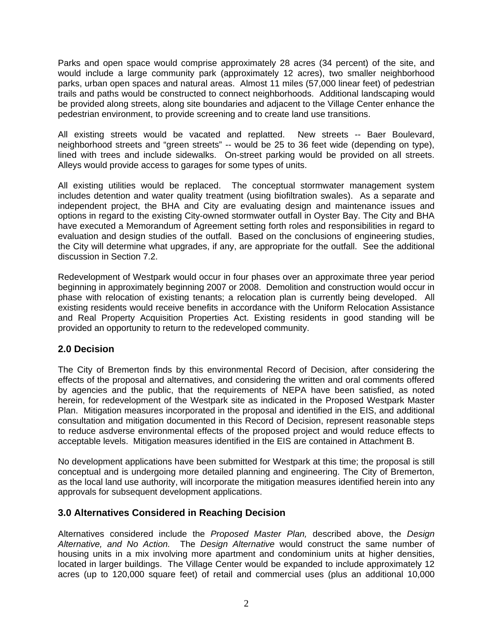Parks and open space would comprise approximately 28 acres (34 percent) of the site, and would include a large community park (approximately 12 acres), two smaller neighborhood parks, urban open spaces and natural areas. Almost 11 miles (57,000 linear feet) of pedestrian trails and paths would be constructed to connect neighborhoods. Additional landscaping would be provided along streets, along site boundaries and adjacent to the Village Center enhance the pedestrian environment, to provide screening and to create land use transitions.

All existing streets would be vacated and replatted. New streets -- Baer Boulevard, neighborhood streets and "green streets" -- would be 25 to 36 feet wide (depending on type), lined with trees and include sidewalks. On-street parking would be provided on all streets. Alleys would provide access to garages for some types of units.

All existing utilities would be replaced. The conceptual stormwater management system includes detention and water quality treatment (using biofiltration swales). As a separate and independent project, the BHA and City are evaluating design and maintenance issues and options in regard to the existing City-owned stormwater outfall in Oyster Bay. The City and BHA have executed a Memorandum of Agreement setting forth roles and responsibilities in regard to evaluation and design studies of the outfall. Based on the conclusions of engineering studies, the City will determine what upgrades, if any, are appropriate for the outfall. See the additional discussion in Section 7.2.

Redevelopment of Westpark would occur in four phases over an approximate three year period beginning in approximately beginning 2007 or 2008. Demolition and construction would occur in phase with relocation of existing tenants; a relocation plan is currently being developed. All existing residents would receive benefits in accordance with the Uniform Relocation Assistance and Real Property Acquisition Properties Act. Existing residents in good standing will be provided an opportunity to return to the redeveloped community.

# **2.0 Decision**

The City of Bremerton finds by this environmental Record of Decision, after considering the effects of the proposal and alternatives, and considering the written and oral comments offered by agencies and the public, that the requirements of NEPA have been satisfied, as noted herein, for redevelopment of the Westpark site as indicated in the Proposed Westpark Master Plan. Mitigation measures incorporated in the proposal and identified in the EIS, and additional consultation and mitigation documented in this Record of Decision, represent reasonable steps to reduce asdverse environmental effects of the proposed project and would reduce effects to acceptable levels. Mitigation measures identified in the EIS are contained in Attachment B.

No development applications have been submitted for Westpark at this time; the proposal is still conceptual and is undergoing more detailed planning and engineering. The City of Bremerton, as the local land use authority, will incorporate the mitigation measures identified herein into any approvals for subsequent development applications.

# **3.0 Alternatives Considered in Reaching Decision**

Alternatives considered include the *Proposed Master Plan,* described above, the *Design Alternative, and No Action.* The *Design Alternative* would construct the same number of housing units in a mix involving more apartment and condominium units at higher densities, located in larger buildings. The Village Center would be expanded to include approximately 12 acres (up to 120,000 square feet) of retail and commercial uses (plus an additional 10,000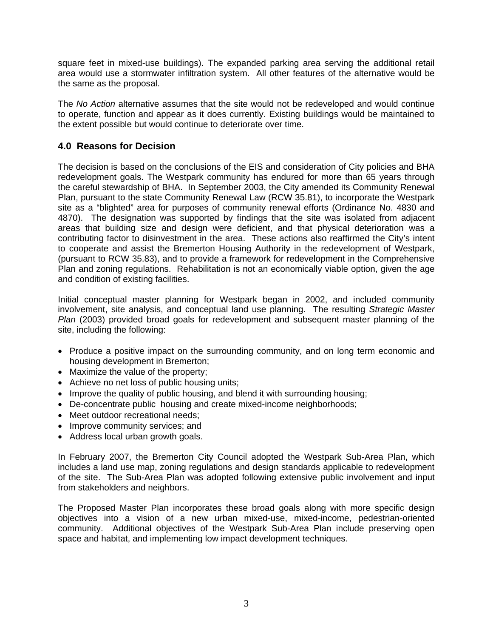square feet in mixed-use buildings). The expanded parking area serving the additional retail area would use a stormwater infiltration system. All other features of the alternative would be the same as the proposal.

The *No Action* alternative assumes that the site would not be redeveloped and would continue to operate, function and appear as it does currently. Existing buildings would be maintained to the extent possible but would continue to deteriorate over time.

# **4.0 Reasons for Decision**

The decision is based on the conclusions of the EIS and consideration of City policies and BHA redevelopment goals. The Westpark community has endured for more than 65 years through the careful stewardship of BHA. In September 2003, the City amended its Community Renewal Plan, pursuant to the state Community Renewal Law (RCW 35.81), to incorporate the Westpark site as a "blighted" area for purposes of community renewal efforts (Ordinance No. 4830 and 4870). The designation was supported by findings that the site was isolated from adjacent areas that building size and design were deficient, and that physical deterioration was a contributing factor to disinvestment in the area. These actions also reaffirmed the City's intent to cooperate and assist the Bremerton Housing Authority in the redevelopment of Westpark, (pursuant to RCW 35.83), and to provide a framework for redevelopment in the Comprehensive Plan and zoning regulations. Rehabilitation is not an economically viable option, given the age and condition of existing facilities.

Initial conceptual master planning for Westpark began in 2002, and included community involvement, site analysis, and conceptual land use planning. The resulting *Strategic Master Plan* (2003) provided broad goals for redevelopment and subsequent master planning of the site, including the following:

- Produce a positive impact on the surrounding community, and on long term economic and housing development in Bremerton;
- Maximize the value of the property;
- Achieve no net loss of public housing units;
- Improve the quality of public housing, and blend it with surrounding housing;
- De-concentrate public housing and create mixed-income neighborhoods;
- Meet outdoor recreational needs;
- Improve community services; and
- Address local urban growth goals.

In February 2007, the Bremerton City Council adopted the Westpark Sub-Area Plan, which includes a land use map, zoning regulations and design standards applicable to redevelopment of the site. The Sub-Area Plan was adopted following extensive public involvement and input from stakeholders and neighbors.

The Proposed Master Plan incorporates these broad goals along with more specific design objectives into a vision of a new urban mixed-use, mixed-income, pedestrian-oriented community. Additional objectives of the Westpark Sub-Area Plan include preserving open space and habitat, and implementing low impact development techniques.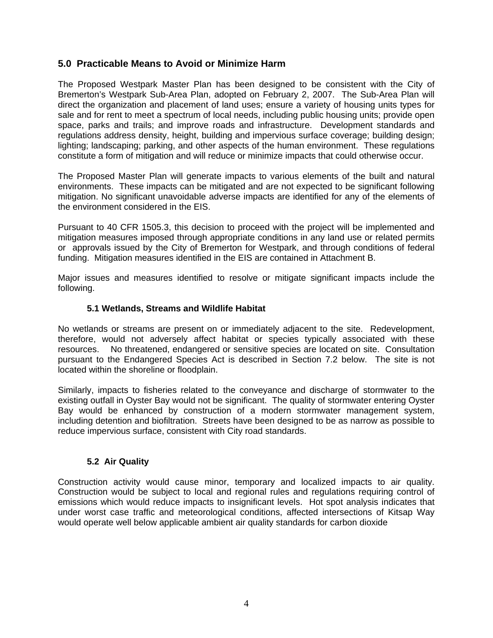# **5.0 Practicable Means to Avoid or Minimize Harm**

The Proposed Westpark Master Plan has been designed to be consistent with the City of Bremerton's Westpark Sub-Area Plan, adopted on February 2, 2007. The Sub-Area Plan will direct the organization and placement of land uses; ensure a variety of housing units types for sale and for rent to meet a spectrum of local needs, including public housing units; provide open space, parks and trails; and improve roads and infrastructure. Development standards and regulations address density, height, building and impervious surface coverage; building design; lighting; landscaping; parking, and other aspects of the human environment. These regulations constitute a form of mitigation and will reduce or minimize impacts that could otherwise occur.

The Proposed Master Plan will generate impacts to various elements of the built and natural environments. These impacts can be mitigated and are not expected to be significant following mitigation. No significant unavoidable adverse impacts are identified for any of the elements of the environment considered in the EIS.

Pursuant to 40 CFR 1505.3, this decision to proceed with the project will be implemented and mitigation measures imposed through appropriate conditions in any land use or related permits or approvals issued by the City of Bremerton for Westpark, and through conditions of federal funding. Mitigation measures identified in the EIS are contained in Attachment B.

Major issues and measures identified to resolve or mitigate significant impacts include the following.

### **5.1 Wetlands, Streams and Wildlife Habitat**

No wetlands or streams are present on or immediately adjacent to the site. Redevelopment, therefore, would not adversely affect habitat or species typically associated with these resources. No threatened, endangered or sensitive species are located on site. Consultation pursuant to the Endangered Species Act is described in Section 7.2 below. The site is not located within the shoreline or floodplain.

Similarly, impacts to fisheries related to the conveyance and discharge of stormwater to the existing outfall in Oyster Bay would not be significant. The quality of stormwater entering Oyster Bay would be enhanced by construction of a modern stormwater management system, including detention and biofiltration. Streets have been designed to be as narrow as possible to reduce impervious surface, consistent with City road standards.

# **5.2 Air Quality**

Construction activity would cause minor, temporary and localized impacts to air quality. Construction would be subject to local and regional rules and regulations requiring control of emissions which would reduce impacts to insignificant levels. Hot spot analysis indicates that under worst case traffic and meteorological conditions, affected intersections of Kitsap Way would operate well below applicable ambient air quality standards for carbon dioxide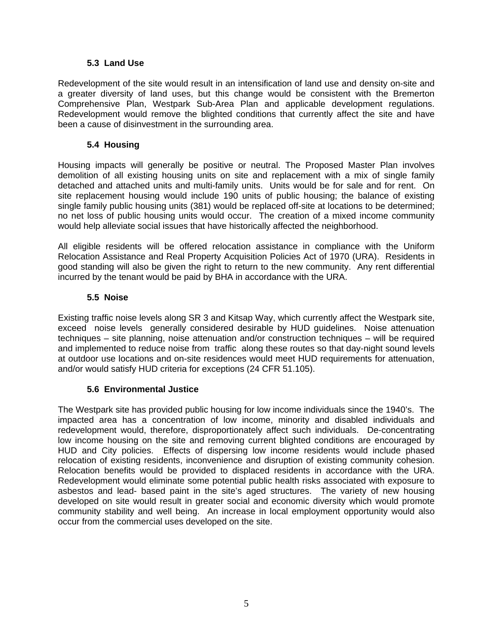# **5.3 Land Use**

Redevelopment of the site would result in an intensification of land use and density on-site and a greater diversity of land uses, but this change would be consistent with the Bremerton Comprehensive Plan, Westpark Sub-Area Plan and applicable development regulations. Redevelopment would remove the blighted conditions that currently affect the site and have been a cause of disinvestment in the surrounding area.

# **5.4 Housing**

Housing impacts will generally be positive or neutral. The Proposed Master Plan involves demolition of all existing housing units on site and replacement with a mix of single family detached and attached units and multi-family units. Units would be for sale and for rent. On site replacement housing would include 190 units of public housing; the balance of existing single family public housing units (381) would be replaced off-site at locations to be determined; no net loss of public housing units would occur. The creation of a mixed income community would help alleviate social issues that have historically affected the neighborhood.

All eligible residents will be offered relocation assistance in compliance with the Uniform Relocation Assistance and Real Property Acquisition Policies Act of 1970 (URA). Residents in good standing will also be given the right to return to the new community. Any rent differential incurred by the tenant would be paid by BHA in accordance with the URA.

# **5.5 Noise**

Existing traffic noise levels along SR 3 and Kitsap Way, which currently affect the Westpark site, exceed noise levels generally considered desirable by HUD guidelines. Noise attenuation techniques – site planning, noise attenuation and/or construction techniques – will be required and implemented to reduce noise from traffic along these routes so that day-night sound levels at outdoor use locations and on-site residences would meet HUD requirements for attenuation, and/or would satisfy HUD criteria for exceptions (24 CFR 51.105).

# **5.6 Environmental Justice**

The Westpark site has provided public housing for low income individuals since the 1940's. The impacted area has a concentration of low income, minority and disabled individuals and redevelopment would, therefore, disproportionately affect such individuals. De-concentrating low income housing on the site and removing current blighted conditions are encouraged by HUD and City policies. Effects of dispersing low income residents would include phased relocation of existing residents, inconvenience and disruption of existing community cohesion. Relocation benefits would be provided to displaced residents in accordance with the URA. Redevelopment would eliminate some potential public health risks associated with exposure to asbestos and lead- based paint in the site's aged structures. The variety of new housing developed on site would result in greater social and economic diversity which would promote community stability and well being. An increase in local employment opportunity would also occur from the commercial uses developed on the site.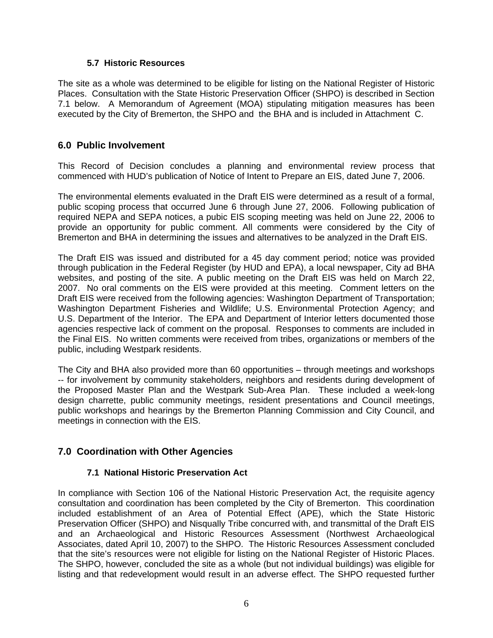### **5.7 Historic Resources**

The site as a whole was determined to be eligible for listing on the National Register of Historic Places. Consultation with the State Historic Preservation Officer (SHPO) is described in Section 7.1 below. A Memorandum of Agreement (MOA) stipulating mitigation measures has been executed by the City of Bremerton, the SHPO and the BHA and is included in Attachment C.

# **6.0 Public Involvement**

This Record of Decision concludes a planning and environmental review process that commenced with HUD's publication of Notice of Intent to Prepare an EIS, dated June 7, 2006.

The environmental elements evaluated in the Draft EIS were determined as a result of a formal, public scoping process that occurred June 6 through June 27, 2006. Following publication of required NEPA and SEPA notices, a pubic EIS scoping meeting was held on June 22, 2006 to provide an opportunity for public comment. All comments were considered by the City of Bremerton and BHA in determining the issues and alternatives to be analyzed in the Draft EIS.

The Draft EIS was issued and distributed for a 45 day comment period; notice was provided through publication in the Federal Register (by HUD and EPA), a local newspaper, City ad BHA websites, and posting of the site. A public meeting on the Draft EIS was held on March 22, 2007. No oral comments on the EIS were provided at this meeting. Comment letters on the Draft EIS were received from the following agencies: Washington Department of Transportation; Washington Department Fisheries and Wildlife; U.S. Environmental Protection Agency; and U.S. Department of the Interior. The EPA and Department of Interior letters documented those agencies respective lack of comment on the proposal. Responses to comments are included in the Final EIS. No written comments were received from tribes, organizations or members of the public, including Westpark residents.

The City and BHA also provided more than 60 opportunities – through meetings and workshops -- for involvement by community stakeholders, neighbors and residents during development of the Proposed Master Plan and the Westpark Sub-Area Plan. These included a week-long design charrette, public community meetings, resident presentations and Council meetings, public workshops and hearings by the Bremerton Planning Commission and City Council, and meetings in connection with the EIS.

# **7.0 Coordination with Other Agencies**

# **7.1 National Historic Preservation Act**

In compliance with Section 106 of the National Historic Preservation Act, the requisite agency consultation and coordination has been completed by the City of Bremerton. This coordination included establishment of an Area of Potential Effect (APE), which the State Historic Preservation Officer (SHPO) and Nisqually Tribe concurred with, and transmittal of the Draft EIS and an Archaeological and Historic Resources Assessment (Northwest Archaeological Associates, dated April 10, 2007) to the SHPO. The Historic Resources Assessment concluded that the site's resources were not eligible for listing on the National Register of Historic Places. The SHPO, however, concluded the site as a whole (but not individual buildings) was eligible for listing and that redevelopment would result in an adverse effect. The SHPO requested further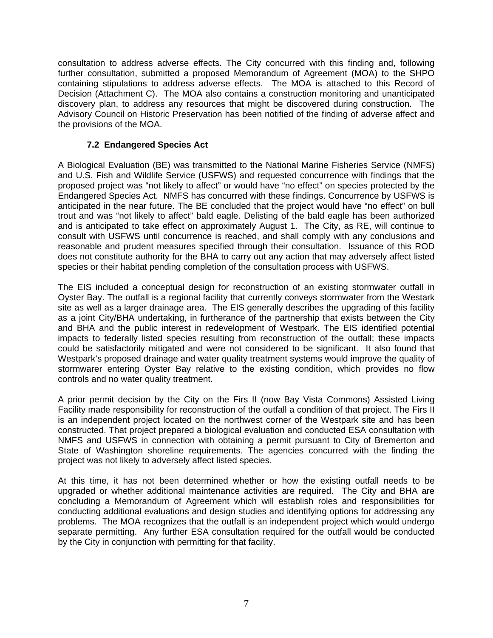consultation to address adverse effects. The City concurred with this finding and, following further consultation, submitted a proposed Memorandum of Agreement (MOA) to the SHPO containing stipulations to address adverse effects. The MOA is attached to this Record of Decision (Attachment C). The MOA also contains a construction monitoring and unanticipated discovery plan, to address any resources that might be discovered during construction. The Advisory Council on Historic Preservation has been notified of the finding of adverse affect and the provisions of the MOA.

# **7.2 Endangered Species Act**

A Biological Evaluation (BE) was transmitted to the National Marine Fisheries Service (NMFS) and U.S. Fish and Wildlife Service (USFWS) and requested concurrence with findings that the proposed project was "not likely to affect" or would have "no effect" on species protected by the Endangered Species Act. NMFS has concurred with these findings. Concurrence by USFWS is anticipated in the near future. The BE concluded that the project would have "no effect" on bull trout and was "not likely to affect" bald eagle. Delisting of the bald eagle has been authorized and is anticipated to take effect on approximately August 1. The City, as RE, will continue to consult with USFWS until concurrence is reached, and shall comply with any conclusions and reasonable and prudent measures specified through their consultation. Issuance of this ROD does not constitute authority for the BHA to carry out any action that may adversely affect listed species or their habitat pending completion of the consultation process with USFWS.

The EIS included a conceptual design for reconstruction of an existing stormwater outfall in Oyster Bay. The outfall is a regional facility that currently conveys stormwater from the Westark site as well as a larger drainage area. The EIS generally describes the upgrading of this facility as a joint City/BHA undertaking, in furtherance of the partnership that exists between the City and BHA and the public interest in redevelopment of Westpark. The EIS identified potential impacts to federally listed species resulting from reconstruction of the outfall; these impacts could be satisfactorily mitigated and were not considered to be significant. It also found that Westpark's proposed drainage and water quality treatment systems would improve the quality of stormwarer entering Oyster Bay relative to the existing condition, which provides no flow controls and no water quality treatment.

A prior permit decision by the City on the Firs II (now Bay Vista Commons) Assisted Living Facility made responsibility for reconstruction of the outfall a condition of that project. The Firs II is an independent project located on the northwest corner of the Westpark site and has been constructed. That project prepared a biological evaluation and conducted ESA consultation with NMFS and USFWS in connection with obtaining a permit pursuant to City of Bremerton and State of Washington shoreline requirements. The agencies concurred with the finding the project was not likely to adversely affect listed species.

At this time, it has not been determined whether or how the existing outfall needs to be upgraded or whether additional maintenance activities are required. The City and BHA are concluding a Memorandum of Agreement which will establish roles and responsibilities for conducting additional evaluations and design studies and identifying options for addressing any problems. The MOA recognizes that the outfall is an independent project which would undergo separate permitting. Any further ESA consultation required for the outfall would be conducted by the City in conjunction with permitting for that facility.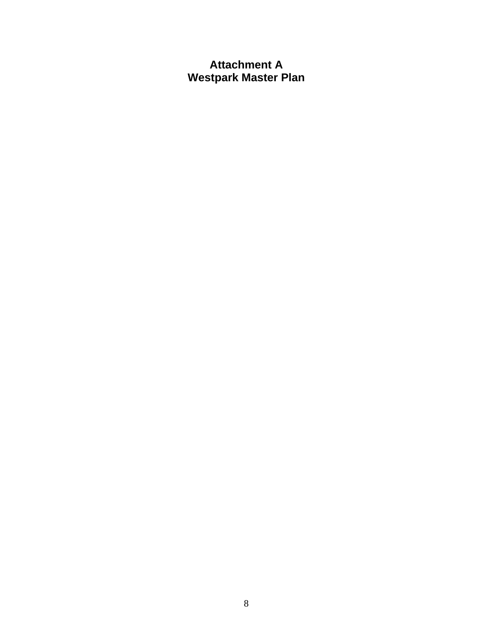# **Attachment A Westpark Master Plan**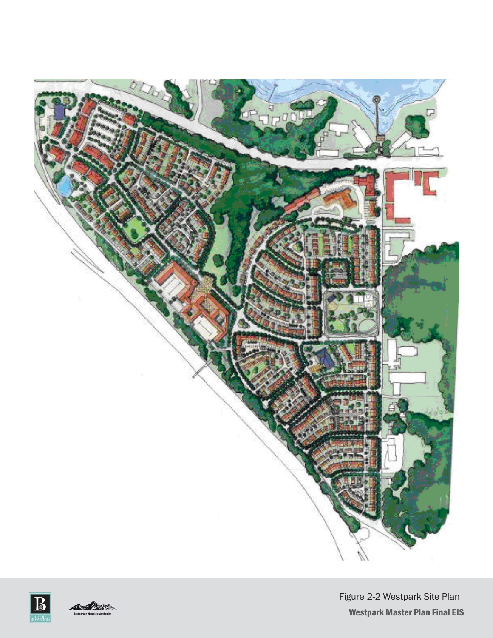





Figure 2-2 Westpark Site Plan

Westpark Master Plan Final EIS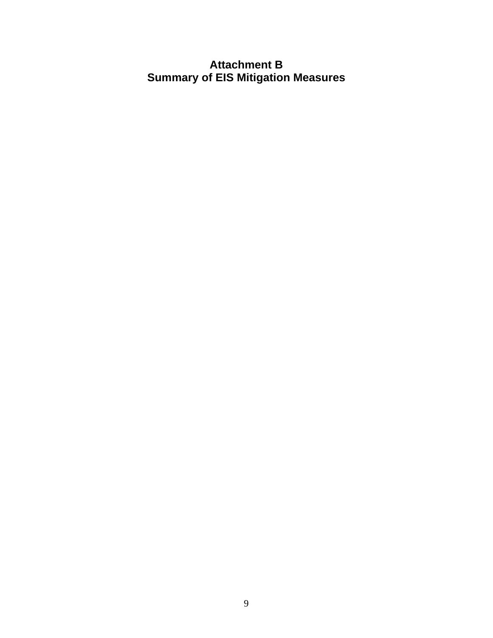# **Attachment B Summary of EIS Mitigation Measures**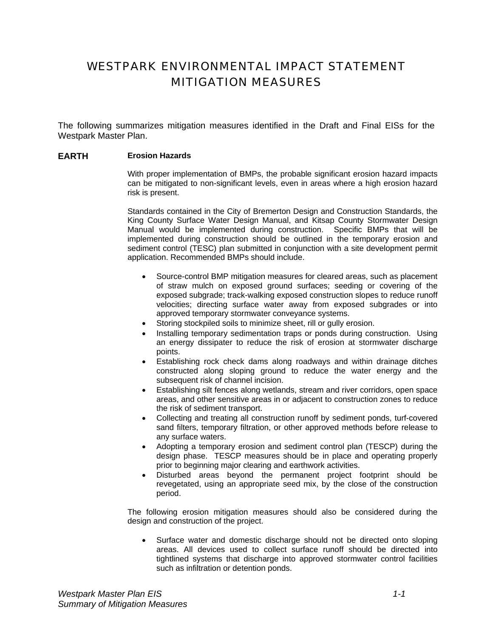# WESTPARK ENVIRONMENTAL IMPACT STATEMENT MITIGATION MEASURES

The following summarizes mitigation measures identified in the Draft and Final EISs for the Westpark Master Plan.

#### **EARTH Erosion Hazards**

With proper implementation of BMPs, the probable significant erosion hazard impacts can be mitigated to non-significant levels, even in areas where a high erosion hazard risk is present.

Standards contained in the City of Bremerton Design and Construction Standards, the King County Surface Water Design Manual, and Kitsap County Stormwater Design Manual would be implemented during construction. Specific BMPs that will be implemented during construction should be outlined in the temporary erosion and sediment control (TESC) plan submitted in conjunction with a site development permit application. Recommended BMPs should include.

- Source-control BMP mitigation measures for cleared areas, such as placement of straw mulch on exposed ground surfaces; seeding or covering of the exposed subgrade; track-walking exposed construction slopes to reduce runoff velocities; directing surface water away from exposed subgrades or into approved temporary stormwater conveyance systems.
- Storing stockpiled soils to minimize sheet, rill or gully erosion.
- Installing temporary sedimentation traps or ponds during construction. Using an energy dissipater to reduce the risk of erosion at stormwater discharge points.
- Establishing rock check dams along roadways and within drainage ditches constructed along sloping ground to reduce the water energy and the subsequent risk of channel incision.
- Establishing silt fences along wetlands, stream and river corridors, open space areas, and other sensitive areas in or adjacent to construction zones to reduce the risk of sediment transport.
- Collecting and treating all construction runoff by sediment ponds, turf-covered sand filters, temporary filtration, or other approved methods before release to any surface waters.
- Adopting a temporary erosion and sediment control plan (TESCP) during the design phase. TESCP measures should be in place and operating properly prior to beginning major clearing and earthwork activities.
- Disturbed areas beyond the permanent project footprint should be revegetated, using an appropriate seed mix, by the close of the construction period.

The following erosion mitigation measures should also be considered during the design and construction of the project.

• Surface water and domestic discharge should not be directed onto sloping areas. All devices used to collect surface runoff should be directed into tightlined systems that discharge into approved stormwater control facilities such as infiltration or detention ponds.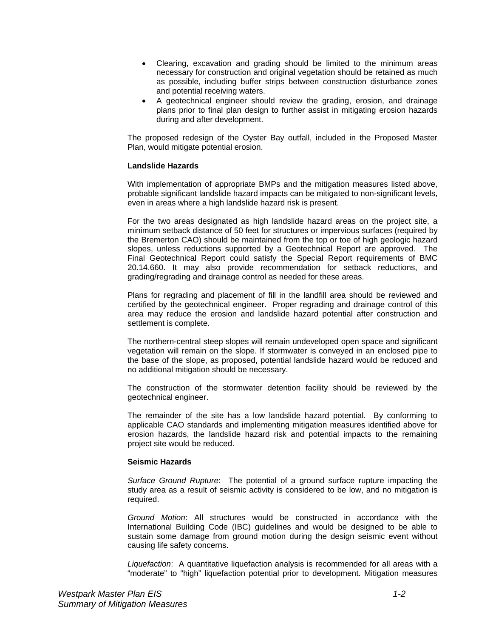- Clearing, excavation and grading should be limited to the minimum areas necessary for construction and original vegetation should be retained as much as possible, including buffer strips between construction disturbance zones and potential receiving waters.
- A geotechnical engineer should review the grading, erosion, and drainage plans prior to final plan design to further assist in mitigating erosion hazards during and after development.

The proposed redesign of the Oyster Bay outfall, included in the Proposed Master Plan, would mitigate potential erosion.

#### **Landslide Hazards**

With implementation of appropriate BMPs and the mitigation measures listed above, probable significant landslide hazard impacts can be mitigated to non-significant levels, even in areas where a high landslide hazard risk is present.

For the two areas designated as high landslide hazard areas on the project site, a minimum setback distance of 50 feet for structures or impervious surfaces (required by the Bremerton CAO) should be maintained from the top or toe of high geologic hazard slopes, unless reductions supported by a Geotechnical Report are approved. The Final Geotechnical Report could satisfy the Special Report requirements of BMC 20.14.660. It may also provide recommendation for setback reductions, and grading/regrading and drainage control as needed for these areas.

Plans for regrading and placement of fill in the landfill area should be reviewed and certified by the geotechnical engineer. Proper regrading and drainage control of this area may reduce the erosion and landslide hazard potential after construction and settlement is complete.

The northern-central steep slopes will remain undeveloped open space and significant vegetation will remain on the slope. If stormwater is conveyed in an enclosed pipe to the base of the slope, as proposed, potential landslide hazard would be reduced and no additional mitigation should be necessary.

The construction of the stormwater detention facility should be reviewed by the geotechnical engineer.

The remainder of the site has a low landslide hazard potential. By conforming to applicable CAO standards and implementing mitigation measures identified above for erosion hazards, the landslide hazard risk and potential impacts to the remaining project site would be reduced.

#### **Seismic Hazards**

*Surface Ground Rupture*: The potential of a ground surface rupture impacting the study area as a result of seismic activity is considered to be low, and no mitigation is required.

*Ground Motion*: All structures would be constructed in accordance with the International Building Code (IBC) guidelines and would be designed to be able to sustain some damage from ground motion during the design seismic event without causing life safety concerns.

*Liquefaction*: A quantitative liquefaction analysis is recommended for all areas with a "moderate" to "high" liquefaction potential prior to development. Mitigation measures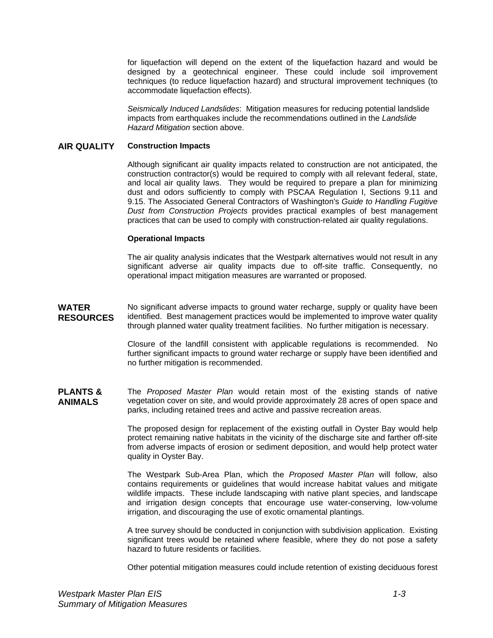for liquefaction will depend on the extent of the liquefaction hazard and would be designed by a geotechnical engineer. These could include soil improvement techniques (to reduce liquefaction hazard) and structural improvement techniques (to accommodate liquefaction effects).

*Seismically Induced Landslides*: Mitigation measures for reducing potential landslide impacts from earthquakes include the recommendations outlined in the *Landslide Hazard Mitigation* section above.

#### **AIR QUALITY Construction Impacts**

Although significant air quality impacts related to construction are not anticipated, the construction contractor(s) would be required to comply with all relevant federal, state, and local air quality laws. They would be required to prepare a plan for minimizing dust and odors sufficiently to comply with PSCAA Regulation I, Sections 9.11 and 9.15. The Associated General Contractors of Washington's *Guide to Handling Fugitive Dust from Construction Projects* provides practical examples of best management practices that can be used to comply with construction-related air quality regulations.

#### **Operational Impacts**

The air quality analysis indicates that the Westpark alternatives would not result in any significant adverse air quality impacts due to off-site traffic. Consequently, no operational impact mitigation measures are warranted or proposed.

**WATER RESOURCES**  No significant adverse impacts to ground water recharge, supply or quality have been identified. Best management practices would be implemented to improve water quality through planned water quality treatment facilities. No further mitigation is necessary.

> Closure of the landfill consistent with applicable regulations is recommended. No further significant impacts to ground water recharge or supply have been identified and no further mitigation is recommended.

**PLANTS & ANIMALS**  The *Proposed Master Plan* would retain most of the existing stands of native vegetation cover on site, and would provide approximately 28 acres of open space and parks, including retained trees and active and passive recreation areas.

> The proposed design for replacement of the existing outfall in Oyster Bay would help protect remaining native habitats in the vicinity of the discharge site and farther off-site from adverse impacts of erosion or sediment deposition, and would help protect water quality in Oyster Bay.

> The Westpark Sub-Area Plan, which the *Proposed Master Plan* will follow, also contains requirements or guidelines that would increase habitat values and mitigate wildlife impacts. These include landscaping with native plant species, and landscape and irrigation design concepts that encourage use water-conserving, low-volume irrigation, and discouraging the use of exotic ornamental plantings.

> A tree survey should be conducted in conjunction with subdivision application. Existing significant trees would be retained where feasible, where they do not pose a safety hazard to future residents or facilities.

> Other potential mitigation measures could include retention of existing deciduous forest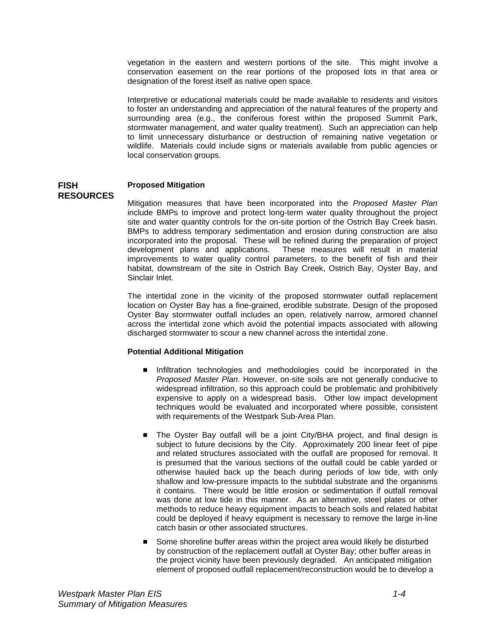vegetation in the eastern and western portions of the site. This might involve a conservation easement on the rear portions of the proposed lots in that area or designation of the forest itself as native open space.

Interpretive or educational materials could be made available to residents and visitors to foster an understanding and appreciation of the natural features of the property and surrounding area (e.g., the coniferous forest within the proposed Summit Park, stormwater management, and water quality treatment). Such an appreciation can help to limit unnecessary disturbance or destruction of remaining native vegetation or wildlife. Materials could include signs or materials available from public agencies or local conservation groups.

#### **FISH RESOURCES Proposed Mitigation**

Mitigation measures that have been incorporated into the *Proposed Master Plan* include BMPs to improve and protect long-term water quality throughout the project site and water quantity controls for the on-site portion of the Ostrich Bay Creek basin. BMPs to address temporary sedimentation and erosion during construction are also incorporated into the proposal. These will be refined during the preparation of project development plans and applications. These measures will result in material improvements to water quality control parameters, to the benefit of fish and their habitat, downstream of the site in Ostrich Bay Creek, Ostrich Bay, Oyster Bay, and Sinclair Inlet.

The intertidal zone in the vicinity of the proposed stormwater outfall replacement location on Oyster Bay has a fine-grained, erodible substrate. Design of the proposed Oyster Bay stormwater outfall includes an open, relatively narrow, armored channel across the intertidal zone which avoid the potential impacts associated with allowing discharged stormwater to scour a new channel across the intertidal zone.

#### **Potential Additional Mitigation**

- Infiltration technologies and methodologies could be incorporated in the *Proposed Master Plan*. However, on-site soils are not generally conducive to widespread infiltration, so this approach could be problematic and prohibitively expensive to apply on a widespread basis. Other low impact development techniques would be evaluated and incorporated where possible, consistent with requirements of the Westpark Sub-Area Plan.
- The Oyster Bay outfall will be a joint City/BHA project, and final design is subject to future decisions by the City. Approximately 200 linear feet of pipe and related structures associated with the outfall are proposed for removal. It is presumed that the various sections of the outfall could be cable yarded or otherwise hauled back up the beach during periods of low tide, with only shallow and low-pressure impacts to the subtidal substrate and the organisms it contains. There would be little erosion or sedimentation if outfall removal was done at low tide in this manner. As an alternative, steel plates or other methods to reduce heavy equipment impacts to beach soils and related habitat could be deployed if heavy equipment is necessary to remove the large in-line catch basin or other associated structures.
- Some shoreline buffer areas within the project area would likely be disturbed by construction of the replacement outfall at Oyster Bay; other buffer areas in the project vicinity have been previously degraded. An anticipated mitigation element of proposed outfall replacement/reconstruction would be to develop a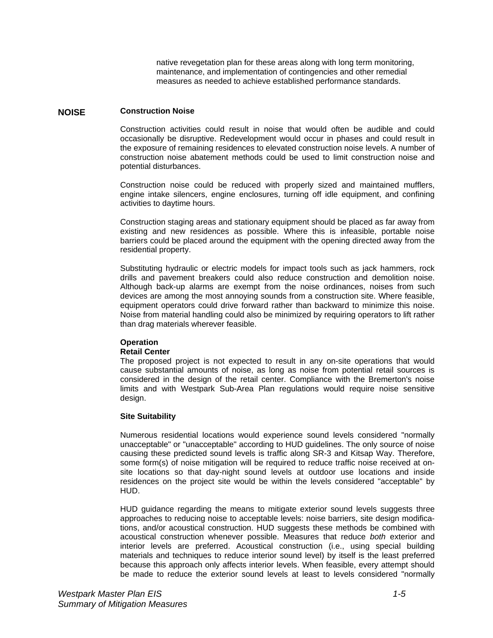native revegetation plan for these areas along with long term monitoring, maintenance, and implementation of contingencies and other remedial measures as needed to achieve established performance standards.

#### **NOISE Construction Noise**

Construction activities could result in noise that would often be audible and could occasionally be disruptive. Redevelopment would occur in phases and could result in the exposure of remaining residences to elevated construction noise levels. A number of construction noise abatement methods could be used to limit construction noise and potential disturbances.

Construction noise could be reduced with properly sized and maintained mufflers, engine intake silencers, engine enclosures, turning off idle equipment, and confining activities to daytime hours.

Construction staging areas and stationary equipment should be placed as far away from existing and new residences as possible. Where this is infeasible, portable noise barriers could be placed around the equipment with the opening directed away from the residential property.

Substituting hydraulic or electric models for impact tools such as jack hammers, rock drills and pavement breakers could also reduce construction and demolition noise. Although back-up alarms are exempt from the noise ordinances, noises from such devices are among the most annoying sounds from a construction site. Where feasible, equipment operators could drive forward rather than backward to minimize this noise. Noise from material handling could also be minimized by requiring operators to lift rather than drag materials wherever feasible.

#### **Operation**

#### **Retail Center**

The proposed project is not expected to result in any on-site operations that would cause substantial amounts of noise, as long as noise from potential retail sources is considered in the design of the retail center. Compliance with the Bremerton's noise limits and with Westpark Sub-Area Plan regulations would require noise sensitive design.

#### **Site Suitability**

Numerous residential locations would experience sound levels considered "normally unacceptable" or "unacceptable" according to HUD guidelines. The only source of noise causing these predicted sound levels is traffic along SR-3 and Kitsap Way. Therefore, some form(s) of noise mitigation will be required to reduce traffic noise received at onsite locations so that day-night sound levels at outdoor use locations and inside residences on the project site would be within the levels considered "acceptable" by HUD.

HUD guidance regarding the means to mitigate exterior sound levels suggests three approaches to reducing noise to acceptable levels: noise barriers, site design modifications, and/or acoustical construction. HUD suggests these methods be combined with acoustical construction whenever possible. Measures that reduce *both* exterior and interior levels are preferred. Acoustical construction (i.e., using special building materials and techniques to reduce interior sound level) by itself is the least preferred because this approach only affects interior levels. When feasible, every attempt should be made to reduce the exterior sound levels at least to levels considered "normally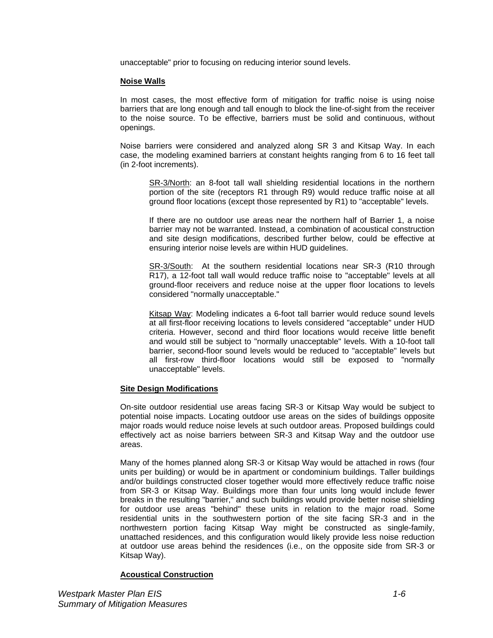unacceptable" prior to focusing on reducing interior sound levels.

#### **Noise Walls**

In most cases, the most effective form of mitigation for traffic noise is using noise barriers that are long enough and tall enough to block the line-of-sight from the receiver to the noise source. To be effective, barriers must be solid and continuous, without openings.

Noise barriers were considered and analyzed along SR 3 and Kitsap Way. In each case, the modeling examined barriers at constant heights ranging from 6 to 16 feet tall (in 2-foot increments).

SR-3/North: an 8-foot tall wall shielding residential locations in the northern portion of the site (receptors R1 through R9) would reduce traffic noise at all ground floor locations (except those represented by R1) to "acceptable" levels.

If there are no outdoor use areas near the northern half of Barrier 1, a noise barrier may not be warranted. Instead, a combination of acoustical construction and site design modifications, described further below, could be effective at ensuring interior noise levels are within HUD guidelines.

SR-3/South: At the southern residential locations near SR-3 (R10 through R17), a 12-foot tall wall would reduce traffic noise to "acceptable" levels at all ground-floor receivers and reduce noise at the upper floor locations to levels considered "normally unacceptable."

Kitsap Way: Modeling indicates a 6-foot tall barrier would reduce sound levels at all first-floor receiving locations to levels considered "acceptable" under HUD criteria. However, second and third floor locations would receive little benefit and would still be subject to "normally unacceptable" levels. With a 10-foot tall barrier, second-floor sound levels would be reduced to "acceptable" levels but all first-row third-floor locations would still be exposed to "normally unacceptable" levels.

#### **Site Design Modifications**

On-site outdoor residential use areas facing SR-3 or Kitsap Way would be subject to potential noise impacts. Locating outdoor use areas on the sides of buildings opposite major roads would reduce noise levels at such outdoor areas. Proposed buildings could effectively act as noise barriers between SR-3 and Kitsap Way and the outdoor use areas.

Many of the homes planned along SR-3 or Kitsap Way would be attached in rows (four units per building) or would be in apartment or condominium buildings. Taller buildings and/or buildings constructed closer together would more effectively reduce traffic noise from SR-3 or Kitsap Way. Buildings more than four units long would include fewer breaks in the resulting "barrier," and such buildings would provide better noise shielding for outdoor use areas "behind" these units in relation to the major road. Some residential units in the southwestern portion of the site facing SR-3 and in the northwestern portion facing Kitsap Way might be constructed as single-family, unattached residences, and this configuration would likely provide less noise reduction at outdoor use areas behind the residences (i.e., on the opposite side from SR-3 or Kitsap Way).

#### **Acoustical Construction**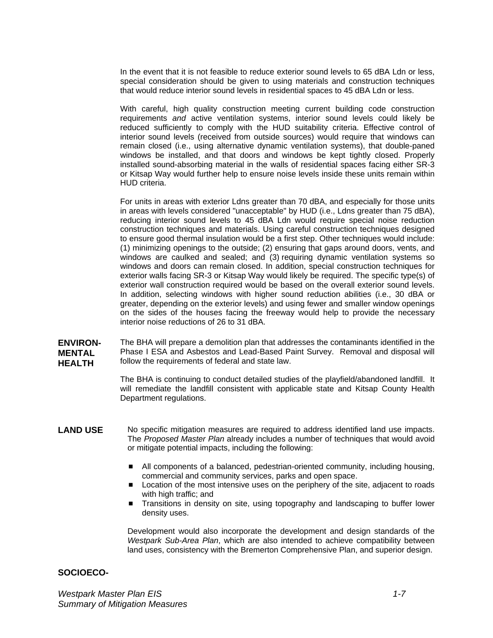In the event that it is not feasible to reduce exterior sound levels to 65 dBA Ldn or less, special consideration should be given to using materials and construction techniques that would reduce interior sound levels in residential spaces to 45 dBA Ldn or less.

With careful, high quality construction meeting current building code construction requirements *and* active ventilation systems, interior sound levels could likely be reduced sufficiently to comply with the HUD suitability criteria. Effective control of interior sound levels (received from outside sources) would require that windows can remain closed (i.e., using alternative dynamic ventilation systems), that double-paned windows be installed, and that doors and windows be kept tightly closed. Properly installed sound-absorbing material in the walls of residential spaces facing either SR-3 or Kitsap Way would further help to ensure noise levels inside these units remain within HUD criteria.

For units in areas with exterior Ldns greater than 70 dBA, and especially for those units in areas with levels considered "unacceptable" by HUD (i.e., Ldns greater than 75 dBA), reducing interior sound levels to 45 dBA Ldn would require special noise reduction construction techniques and materials. Using careful construction techniques designed to ensure good thermal insulation would be a first step. Other techniques would include: (1) minimizing openings to the outside; (2) ensuring that gaps around doors, vents, and windows are caulked and sealed; and (3) requiring dynamic ventilation systems so windows and doors can remain closed. In addition, special construction techniques for exterior walls facing SR-3 or Kitsap Way would likely be required. The specific type(s) of exterior wall construction required would be based on the overall exterior sound levels. In addition, selecting windows with higher sound reduction abilities (i.e., 30 dBA or greater, depending on the exterior levels) and using fewer and smaller window openings on the sides of the houses facing the freeway would help to provide the necessary interior noise reductions of 26 to 31 dBA.

**ENVIRON-MENTAL HEALTH**  The BHA will prepare a demolition plan that addresses the contaminants identified in the Phase I ESA and Asbestos and Lead-Based Paint Survey. Removal and disposal will follow the requirements of federal and state law.

> The BHA is continuing to conduct detailed studies of the playfield/abandoned landfill. It will remediate the landfill consistent with applicable state and Kitsap County Health Department regulations.

- **LAND USE**  No specific mitigation measures are required to address identified land use impacts. The *Proposed Master Plan* already includes a number of techniques that would avoid or mitigate potential impacts, including the following:
	- All components of a balanced, pedestrian-oriented community, including housing, commercial and community services, parks and open space.
	- **Location of the most intensive uses on the periphery of the site, adjacent to roads** with high traffic; and
	- **Transitions in density on site, using topography and landscaping to buffer lower** density uses.

Development would also incorporate the development and design standards of the *Westpark Sub-Area Plan*, which are also intended to achieve compatibility between land uses, consistency with the Bremerton Comprehensive Plan, and superior design.

#### **SOCIOECO-**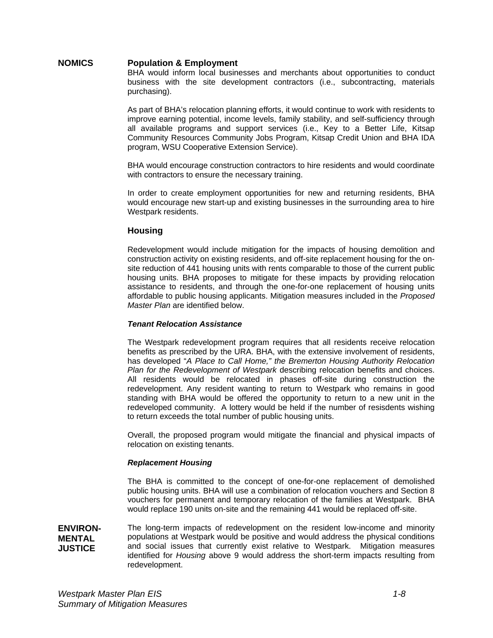### **NOMICS Population & Employment**

BHA would inform local businesses and merchants about opportunities to conduct business with the site development contractors (i.e., subcontracting, materials purchasing).

As part of BHA's relocation planning efforts, it would continue to work with residents to improve earning potential, income levels, family stability, and self-sufficiency through all available programs and support services (i.e., Key to a Better Life, Kitsap Community Resources Community Jobs Program, Kitsap Credit Union and BHA IDA program, WSU Cooperative Extension Service).

BHA would encourage construction contractors to hire residents and would coordinate with contractors to ensure the necessary training.

In order to create employment opportunities for new and returning residents, BHA would encourage new start-up and existing businesses in the surrounding area to hire Westpark residents.

#### **Housing**

Redevelopment would include mitigation for the impacts of housing demolition and construction activity on existing residents, and off-site replacement housing for the onsite reduction of 441 housing units with rents comparable to those of the current public housing units. BHA proposes to mitigate for these impacts by providing relocation assistance to residents, and through the one-for-one replacement of housing units affordable to public housing applicants. Mitigation measures included in the *Proposed Master Plan* are identified below.

#### *Tenant Relocation Assistance*

The Westpark redevelopment program requires that all residents receive relocation benefits as prescribed by the URA. BHA, with the extensive involvement of residents, has developed "*A Place to Call Home," the Bremerton Housing Authority Relocation Plan for the Redevelopment of Westpark* describing relocation benefits and choices. All residents would be relocated in phases off-site during construction the redevelopment. Any resident wanting to return to Westpark who remains in good standing with BHA would be offered the opportunity to return to a new unit in the redeveloped community. A lottery would be held if the number of resisdents wishing to return exceeds the total number of public housing units.

Overall, the proposed program would mitigate the financial and physical impacts of relocation on existing tenants.

#### *Replacement Housing*

The BHA is committed to the concept of one-for-one replacement of demolished public housing units. BHA will use a combination of relocation vouchers and Section 8 vouchers for permanent and temporary relocation of the families at Westpark. BHA would replace 190 units on-site and the remaining 441 would be replaced off-site.

**ENVIRON-MENTAL JUSTICE**  The long-term impacts of redevelopment on the resident low-income and minority populations at Westpark would be positive and would address the physical conditions and social issues that currently exist relative to Westpark. Mitigation measures identified for *Housing* above 9 would address the short-term impacts resulting from redevelopment.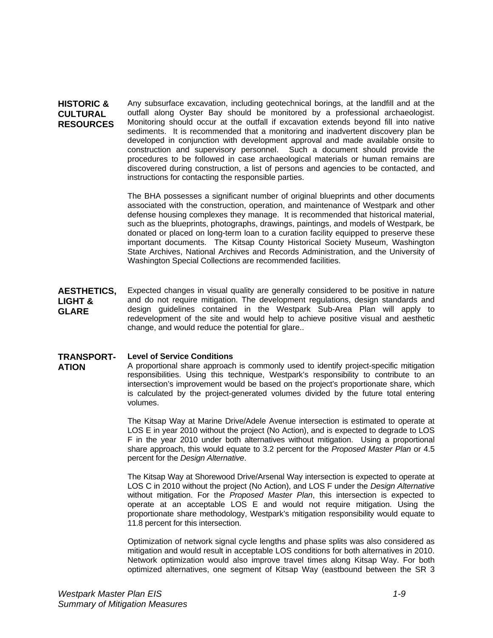**HISTORIC & CULTURAL RESOURCES**  Any subsurface excavation, including geotechnical borings, at the landfill and at the outfall along Oyster Bay should be monitored by a professional archaeologist. Monitoring should occur at the outfall if excavation extends beyond fill into native sediments. It is recommended that a monitoring and inadvertent discovery plan be developed in conjunction with development approval and made available onsite to construction and supervisory personnel. Such a document should provide the procedures to be followed in case archaeological materials or human remains are discovered during construction, a list of persons and agencies to be contacted, and instructions for contacting the responsible parties.

> The BHA possesses a significant number of original blueprints and other documents associated with the construction, operation, and maintenance of Westpark and other defense housing complexes they manage. It is recommended that historical material, such as the blueprints, photographs, drawings, paintings, and models of Westpark, be donated or placed on long-term loan to a curation facility equipped to preserve these important documents. The Kitsap County Historical Society Museum, Washington State Archives, National Archives and Records Administration, and the University of Washington Special Collections are recommended facilities.

**AESTHETICS, LIGHT & GLARE**  Expected changes in visual quality are generally considered to be positive in nature and do not require mitigation. The development regulations, design standards and design guidelines contained in the Westpark Sub-Area Plan will apply to redevelopment of the site and would help to achieve positive visual and aesthetic change, and would reduce the potential for glare..

#### **TRANSPORT-Level of Service Conditions**

**ATION** 

A proportional share approach is commonly used to identify project-specific mitigation responsibilities. Using this technique, Westpark's responsibility to contribute to an intersection's improvement would be based on the project's proportionate share, which is calculated by the project-generated volumes divided by the future total entering volumes.

The Kitsap Way at Marine Drive/Adele Avenue intersection is estimated to operate at LOS E in year 2010 without the project (No Action), and is expected to degrade to LOS F in the year 2010 under both alternatives without mitigation. Using a proportional share approach, this would equate to 3.2 percent for the *Proposed Master Plan* or 4.5 percent for the *Design Alternative*.

The Kitsap Way at Shorewood Drive/Arsenal Way intersection is expected to operate at LOS C in 2010 without the project (No Action), and LOS F under the *Design Alternative* without mitigation. For the *Proposed Master Plan*, this intersection is expected to operate at an acceptable LOS E and would not require mitigation. Using the proportionate share methodology, Westpark's mitigation responsibility would equate to 11.8 percent for this intersection.

Optimization of network signal cycle lengths and phase splits was also considered as mitigation and would result in acceptable LOS conditions for both alternatives in 2010. Network optimization would also improve travel times along Kitsap Way. For both optimized alternatives, one segment of Kitsap Way (eastbound between the SR 3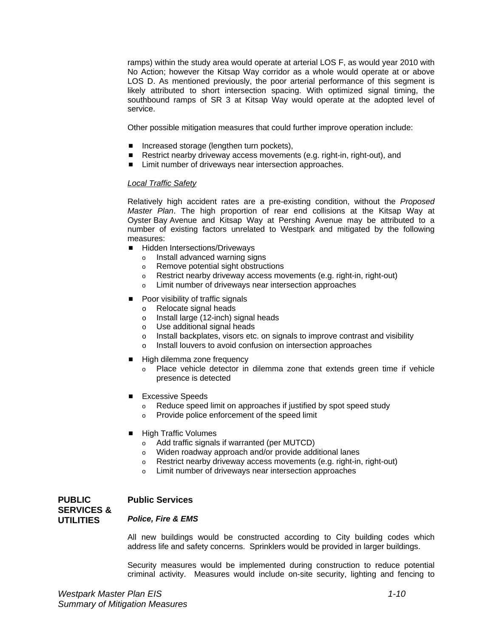ramps) within the study area would operate at arterial LOS F, as would year 2010 with No Action; however the Kitsap Way corridor as a whole would operate at or above LOS D. As mentioned previously, the poor arterial performance of this segment is likely attributed to short intersection spacing. With optimized signal timing, the southbound ramps of SR 3 at Kitsap Way would operate at the adopted level of service.

Other possible mitigation measures that could further improve operation include:

- Increased storage (lengthen turn pockets),
- Restrict nearby driveway access movements (e.g. right-in, right-out), and
- Limit number of driveways near intersection approaches.

#### *Local Traffic Safety*

Relatively high accident rates are a pre-existing condition, without the *Proposed Master Plan*. The high proportion of rear end collisions at the Kitsap Way at Oyster Bay Avenue and Kitsap Way at Pershing Avenue may be attributed to a number of existing factors unrelated to Westpark and mitigated by the following measures:

- Hidden Intersections/Driveways
	- o Install advanced warning signs
	- o Remove potential sight obstructions
	- o Restrict nearby driveway access movements (e.g. right-in, right-out)
	- o Limit number of driveways near intersection approaches
- Poor visibility of traffic signals
	- o Relocate signal heads
	- o Install large (12-inch) signal heads
	- o Use additional signal heads
	- o Install backplates, visors etc. on signals to improve contrast and visibility
	- o Install louvers to avoid confusion on intersection approaches
- High dilemma zone frequency
	- o Place vehicle detector in dilemma zone that extends green time if vehicle presence is detected
- Excessive Speeds
	- $\circ$  Reduce speed limit on approaches if justified by spot speed study  $\circ$  Provide police enforcement of the speed limit
	- Provide police enforcement of the speed limit
- High Traffic Volumes
	- o Add traffic signals if warranted (per MUTCD)
	- o Widen roadway approach and/or provide additional lanes
	- o Restrict nearby driveway access movements (e.g. right-in, right-out)
	- o Limit number of driveways near intersection approaches

#### **PUBLIC SERVICES & UTILITIES Public Services**  *Police, Fire & EMS*

All new buildings would be constructed according to City building codes which address life and safety concerns. Sprinklers would be provided in larger buildings.

Security measures would be implemented during construction to reduce potential criminal activity. Measures would include on-site security, lighting and fencing to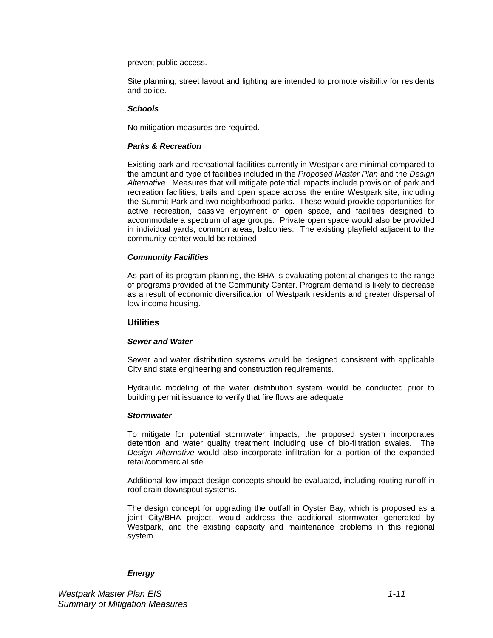prevent public access.

Site planning, street layout and lighting are intended to promote visibility for residents and police.

#### *Schools*

No mitigation measures are required.

#### *Parks & Recreation*

Existing park and recreational facilities currently in Westpark are minimal compared to the amount and type of facilities included in the *Proposed Master Plan* and the *Design Alternative.* Measures that will mitigate potential impacts include provision of park and recreation facilities, trails and open space across the entire Westpark site, including the Summit Park and two neighborhood parks. These would provide opportunities for active recreation, passive enjoyment of open space, and facilities designed to accommodate a spectrum of age groups. Private open space would also be provided in individual yards, common areas, balconies. The existing playfield adjacent to the community center would be retained

#### *Community Facilities*

As part of its program planning, the BHA is evaluating potential changes to the range of programs provided at the Community Center. Program demand is likely to decrease as a result of economic diversification of Westpark residents and greater dispersal of low income housing.

#### **Utilities**

#### *Sewer and Water*

Sewer and water distribution systems would be designed consistent with applicable City and state engineering and construction requirements.

Hydraulic modeling of the water distribution system would be conducted prior to building permit issuance to verify that fire flows are adequate

#### *Stormwater*

To mitigate for potential stormwater impacts, the proposed system incorporates detention and water quality treatment including use of bio-filtration swales. The *Design Alternative* would also incorporate infiltration for a portion of the expanded retail/commercial site.

Additional low impact design concepts should be evaluated, including routing runoff in roof drain downspout systems.

The design concept for upgrading the outfall in Oyster Bay, which is proposed as a joint City/BHA project, would address the additional stormwater generated by Westpark, and the existing capacity and maintenance problems in this regional system.

#### *Energy*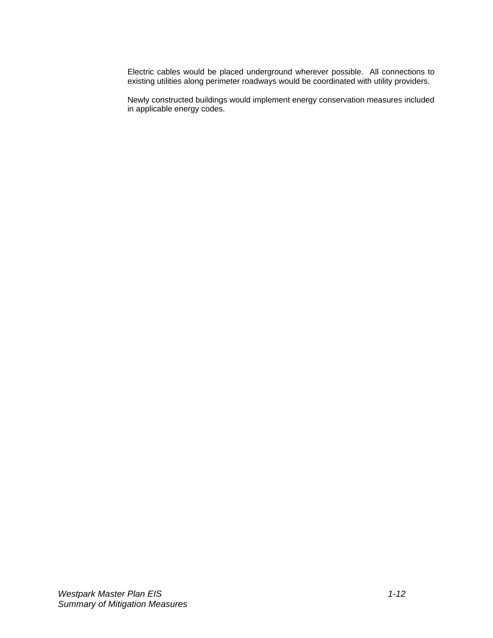Electric cables would be placed underground wherever possible. All connections to existing utilities along perimeter roadways would be coordinated with utility providers.

Newly constructed buildings would implement energy conservation measures included in applicable energy codes.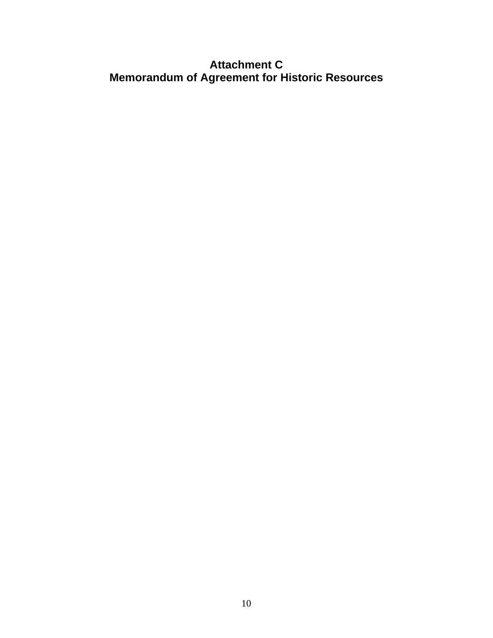# **Attachment C Memorandum of Agreement for Historic Resources**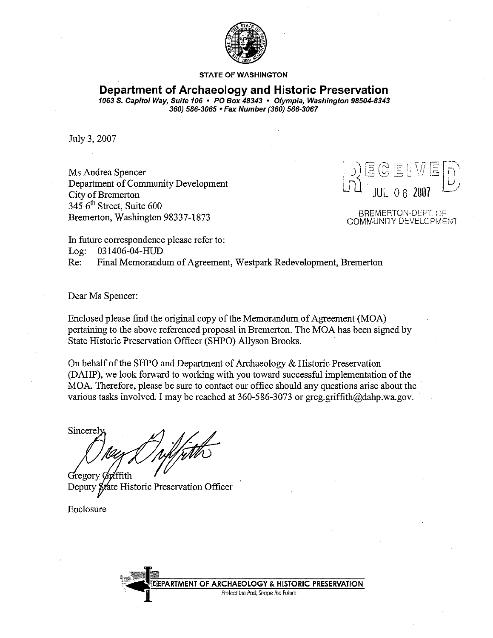

#### **STATE OF WASHINGTON**

# Department of Archaeology and Historic Preservation

1063 S. Capitol Way, Suite 106 · PO Box 48343 · Olympia, Washington 98504-8343 360) 586-3065 • Fax Number (360) 586-3067

July 3, 2007

Ms Andrea Spencer Department of Community Development City of Bremerton 345 6<sup>th</sup> Street, Suite 600 Bremerton, Washington 98337-1873

#### **BREMERTON-DEPT. OF COMMUNITY DEVELOPMENT**

In future correspondence please refer to:

Log: 031406-04-HUD

Re: Final Memorandum of Agreement, Westpark Redevelopment, Bremerton

Dear Ms Spencer:

Enclosed please find the original copy of the Memorandum of Agreement (MOA) pertaining to the above referenced proposal in Bremerton. The MOA has been signed by State Historic Preservation Officer (SHPO) Allyson Brooks.

On behalf of the SHPO and Department of Archaeology & Historic Preservation (DAHP), we look forward to working with you toward successful implementation of the MOA. Therefore, please be sure to contact our office should any questions arise about the various tasks involved. I may be reached at 360-586-3073 or greg.griffith@dahp.wa.gov.

Sincerel

Gregory Guillith Deputy State Historic Preservation Officer

Enclosure

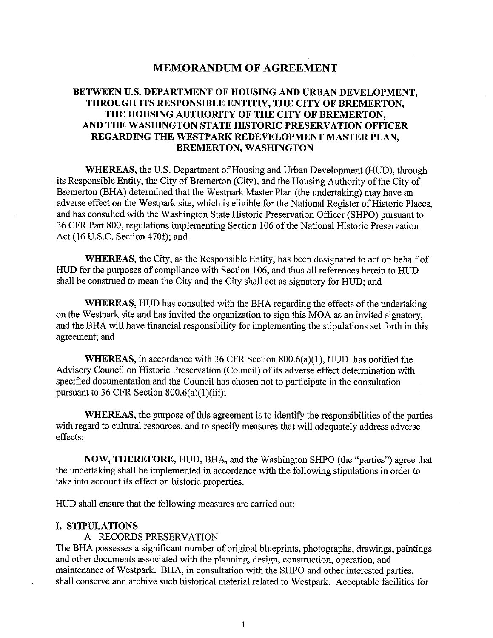# **MEMORANDUM OF AGREEMENT**

# BETWEEN U.S. DEPARTMENT OF HOUSING AND URBAN DEVELOPMENT, THROUGH ITS RESPONSIBLE ENTITIY, THE CITY OF BREMERTON. THE HOUSING AUTHORITY OF THE CITY OF BREMERTON. AND THE WASHINGTON STATE HISTORIC PRESERVATION OFFICER REGARDING THE WESTPARK REDEVELOPMENT MASTER PLAN. **BREMERTON, WASHINGTON**

**WHEREAS**, the U.S. Department of Housing and Urban Development (HUD), through its Responsible Entity, the City of Bremerton (City), and the Housing Authority of the City of Bremerton (BHA) determined that the Westpark Master Plan (the undertaking) may have an adverse effect on the Westpark site, which is eligible for the National Register of Historic Places, and has consulted with the Washington State Historic Preservation Officer (SHPO) pursuant to 36 CFR Part 800, regulations implementing Section 106 of the National Historic Preservation Act (16 U.S.C. Section 470f); and

**WHEREAS**, the City, as the Responsible Entity, has been designated to act on behalf of HUD for the purposes of compliance with Section 106, and thus all references herein to HUD shall be construed to mean the City and the City shall act as signatory for HUD; and

**WHEREAS**, HUD has consulted with the BHA regarding the effects of the undertaking on the Westpark site and has invited the organization to sign this MOA as an invited signatory, and the BHA will have financial responsibility for implementing the stipulations set forth in this agreement; and

**WHEREAS**, in accordance with 36 CFR Section  $800.6(a)(1)$ , HUD has notified the Advisory Council on Historic Preservation (Council) of its adverse effect determination with specified documentation and the Council has chosen not to participate in the consultation pursuant to 36 CFR Section  $800.6(a)(1)(iii)$ ;

**WHEREAS**, the purpose of this agreement is to identify the responsibilities of the parties with regard to cultural resources, and to specify measures that will adequately address adverse effects:

NOW, THEREFORE, HUD, BHA, and the Washington SHPO (the "parties") agree that the undertaking shall be implemented in accordance with the following stipulations in order to take into account its effect on historic properties.

HUD shall ensure that the following measures are carried out:

#### I. STIPULATIONS

# A RECORDS PRESERVATION

The BHA possesses a significant number of original blueprints, photographs, drawings, paintings and other documents associated with the planning, design, construction, operation, and maintenance of Westpark. BHA, in consultation with the SHPO and other interested parties, shall conserve and archive such historical material related to Westpark. Acceptable facilities for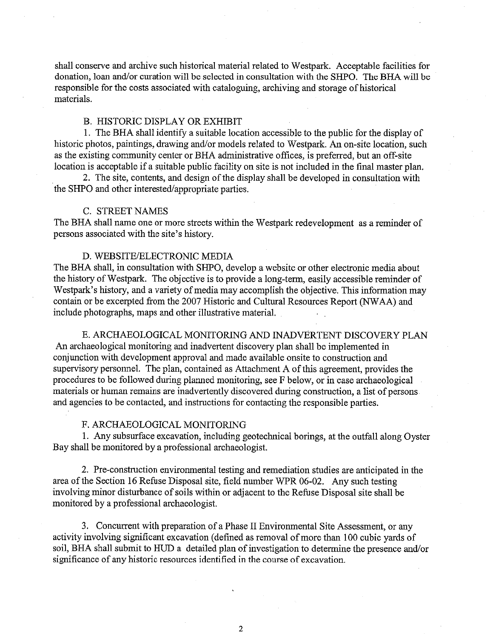shall conserve and archive such historical material related to Westpark. Acceptable facilities for donation, loan and/or curation will be selected in consultation with the SHPO. The BHA will be responsible for the costs associated with cataloguing, archiving and storage of historical materials.

#### **B. HISTORIC DISPLAY OR EXHIBIT**

1. The BHA shall identify a suitable location accessible to the public for the display of historic photos, paintings, drawing and/or models related to Westpark. An on-site location, such as the existing community center or BHA administrative offices, is preferred, but an off-site location is acceptable if a suitable public facility on site is not included in the final master plan.

2. The site, contents, and design of the display shall be developed in consultation with the SHPO and other interested/appropriate parties.

#### C. STREET NAMES

The BHA shall name one or more streets within the Westpark redevelopment as a reminder of persons associated with the site's history.

#### D. WEBSITE/ELECTRONIC MEDIA

The BHA shall, in consultation with SHPO, develop a website or other electronic media about the history of Westpark. The objective is to provide a long-term, easily accessible reminder of Westpark's history, and a variety of media may accomplish the objective. This information may contain or be excerpted from the 2007 Historic and Cultural Resources Report (NWAA) and include photographs, maps and other illustrative material.

E. ARCHAEOLOGICAL MONITORING AND INADVERTENT DISCOVERY PLAN An archaeological monitoring and inadvertent discovery plan shall be implemented in conjunction with development approval and made available onsite to construction and supervisory personnel. The plan, contained as Attachment A of this agreement, provides the procedures to be followed during planned monitoring, see F below, or in case archaeological materials or human remains are inadvertently discovered during construction, a list of persons and agencies to be contacted, and instructions for contacting the responsible parties.

#### F. ARCHAEOLOGICAL MONITORING

1. Any subsurface excavation, including geotechnical borings, at the outfall along Oyster Bay shall be monitored by a professional archaeologist.

2. Pre-construction environmental testing and remediation studies are anticipated in the area of the Section 16 Refuse Disposal site, field number WPR 06-02. Any such testing involving minor disturbance of soils within or adjacent to the Refuse Disposal site shall be monitored by a professional archaeologist.

3. Concurrent with preparation of a Phase II Environmental Site Assessment, or any activity involving significant excavation (defined as removal of more than 100 cubic yards of soil, BHA shall submit to HUD a detailed plan of investigation to determine the presence and/or significance of any historic resources identified in the course of excavation.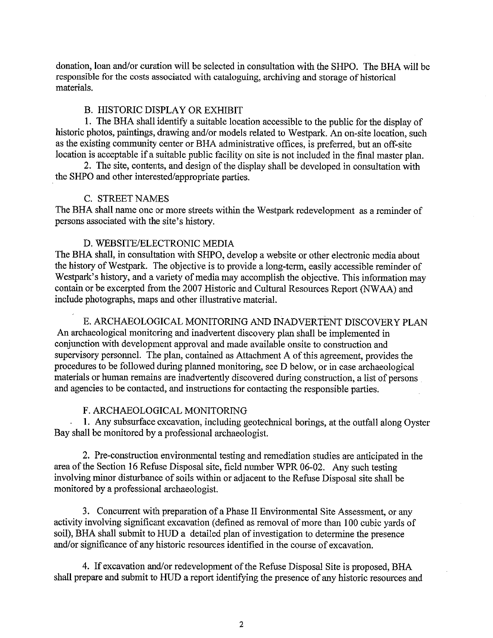donation, loan and/or curation will be selected in consultation with the SHPO. The BHA will be responsible for the costs associated with cataloguing, archiving and storage of historical materials.

## **B. HISTORIC DISPLAY OR EXHIBIT**

1. The BHA shall identify a suitable location accessible to the public for the display of historic photos, paintings, drawing and/or models related to Westpark. An on-site location, such as the existing community center or BHA administrative offices, is preferred, but an off-site location is acceptable if a suitable public facility on site is not included in the final master plan.

2. The site, contents, and design of the display shall be developed in consultation with the SHPO and other interested/appropriate parties.

### C. STREET NAMES

The BHA shall name one or more streets within the Westpark redevelopment as a reminder of persons associated with the site's history.

### D. WEBSITE/ELECTRONIC MEDIA

The BHA shall, in consultation with SHPO, develop a website or other electronic media about the history of Westpark. The objective is to provide a long-term, easily accessible reminder of Westpark's history, and a variety of media may accomplish the objective. This information may contain or be excerpted from the 2007 Historic and Cultural Resources Report (NWAA) and include photographs, maps and other illustrative material.

E. ARCHAEOLOGICAL MONITORING AND INADVERTENT DISCOVERY PLAN An archaeological monitoring and inadvertent discovery plan shall be implemented in conjunction with development approval and made available onsite to construction and supervisory personnel. The plan, contained as Attachment A of this agreement, provides the procedures to be followed during planned monitoring, see D below, or in case archaeological materials or human remains are inadvertently discovered during construction, a list of persons and agencies to be contacted, and instructions for contacting the responsible parties.

### F. ARCHAEOLOGICAL MONITORING

1. Any subsurface excavation, including geotechnical borings, at the outfall along Oyster Bay shall be monitored by a professional archaeologist.

2. Pre-construction environmental testing and remediation studies are anticipated in the area of the Section 16 Refuse Disposal site, field number WPR 06-02. Any such testing involving minor disturbance of soils within or adjacent to the Refuse Disposal site shall be monitored by a professional archaeologist.

3. Concurrent with preparation of a Phase II Environmental Site Assessment, or any activity involving significant excavation (defined as removal of more than 100 cubic yards of soil), BHA shall submit to HUD a detailed plan of investigation to determine the presence and/or significance of any historic resources identified in the course of excavation.

4. If excavation and/or redevelopment of the Refuse Disposal Site is proposed, BHA shall prepare and submit to HUD a report identifying the presence of any historic resources and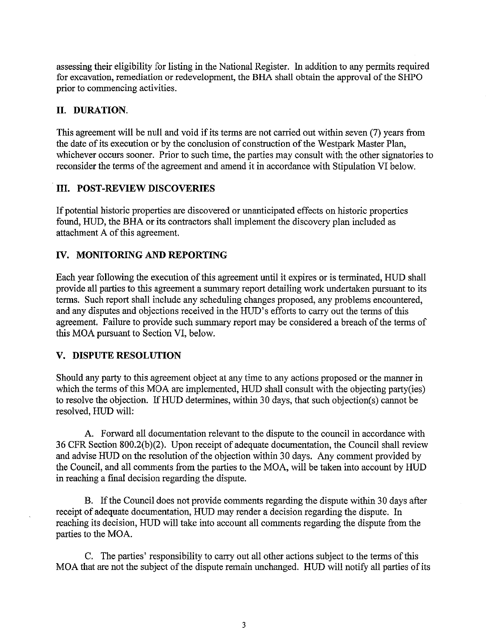assessing their eligibility for listing in the National Register. In addition to any permits required for excavation, remediation or redevelopment, the BHA shall obtain the approval of the SHPO prior to commencing activities.

# II. DURATION.

This agreement will be null and void if its terms are not carried out within seven (7) years from the date of its execution or by the conclusion of construction of the Westpark Master Plan, whichever occurs sooner. Prior to such time, the parties may consult with the other signatories to reconsider the terms of the agreement and amend it in accordance with Stipulation VI below.

# **III. POST-REVIEW DISCOVERIES**

If potential historic properties are discovered or unanticipated effects on historic properties found, HUD, the BHA or its contractors shall implement the discovery plan included as attachment A of this agreement.

# IV. MONITORING AND REPORTING

Each year following the execution of this agreement until it expires or is terminated, HUD shall provide all parties to this agreement a summary report detailing work undertaken pursuant to its terms. Such report shall include any scheduling changes proposed, any problems encountered, and any disputes and objections received in the HUD's efforts to carry out the terms of this agreement. Failure to provide such summary report may be considered a breach of the terms of this MOA pursuant to Section VI, below.

# V. DISPUTE RESOLUTION

Should any party to this agreement object at any time to any actions proposed or the manner in which the terms of this MOA are implemented, HUD shall consult with the objecting party(ies) to resolve the objection. If HUD determines, within 30 days, that such objection(s) cannot be resolved. HUD will:

A. Forward all documentation relevant to the dispute to the council in accordance with 36 CFR Section 800.2(b)(2). Upon receipt of adequate documentation, the Council shall review and advise HUD on the resolution of the objection within 30 days. Any comment provided by the Council, and all comments from the parties to the MOA, will be taken into account by HUD in reaching a final decision regarding the dispute.

B. If the Council does not provide comments regarding the dispute within 30 days after receipt of adequate documentation, HUD may render a decision regarding the dispute. In reaching its decision, HUD will take into account all comments regarding the dispute from the parties to the MOA.

C. The parties' responsibility to carry out all other actions subject to the terms of this MOA that are not the subject of the dispute remain unchanged. HUD will notify all parties of its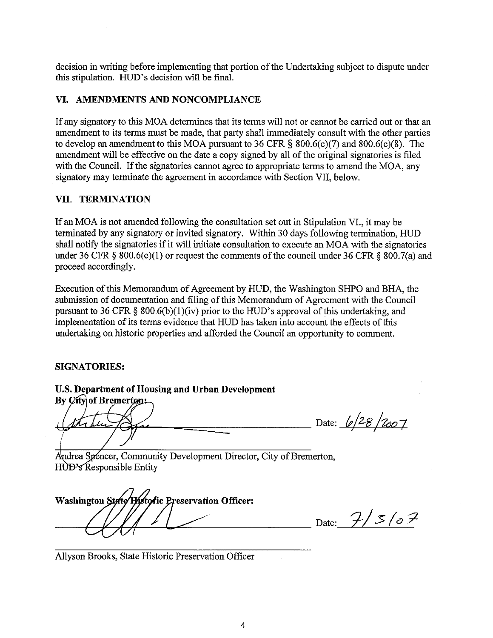decision in writing before implementing that portion of the Undertaking subject to dispute under this stipulation. HUD's decision will be final.

### VI. AMENDMENTS AND NONCOMPLIANCE

If any signatory to this MOA determines that its terms will not or cannot be carried out or that an amendment to its terms must be made, that party shall immediately consult with the other parties to develop an amendment to this MOA pursuant to  $36$  CFR §  $800.6(c)(7)$  and  $800.6(c)(8)$ . The amendment will be effective on the date a copy signed by all of the original signatories is filed with the Council. If the signatories cannot agree to appropriate terms to amend the MOA, any signatory may terminate the agreement in accordance with Section VII, below.

## VII. TERMINATION

If an MOA is not amended following the consultation set out in Stipulation VI., it may be terminated by any signatory or invited signatory. Within 30 days following termination, HUD shall notify the signatories if it will initiate consultation to execute an MOA with the signatories under 36 CFR § 800.6(c)(1) or request the comments of the council under 36 CFR § 800.7(a) and proceed accordingly.

Execution of this Memorandum of Agreement by HUD, the Washington SHPO and BHA, the submission of documentation and filing of this Memorandum of Agreement with the Council pursuant to 36 CFR  $\S$  800.6(b)(1)(iv) prior to the HUD's approval of this undertaking, and implementation of its terms evidence that HUD has taken into account the effects of this undertaking on historic properties and afforded the Council an opportunity to comment.

#### **SIGNATORIES:**

U.S. Department of Housing and Urban Development

By *City* of Bremerton:

Date: 6/28/2007

Andrea Spéncer, Community Development Director, City of Bremerton, HUD's Responsible Entity

Washington State Hustoric Preservation Officer:

Date:  $7/5/57$ 

Allyson Brooks, State Historic Preservation Officer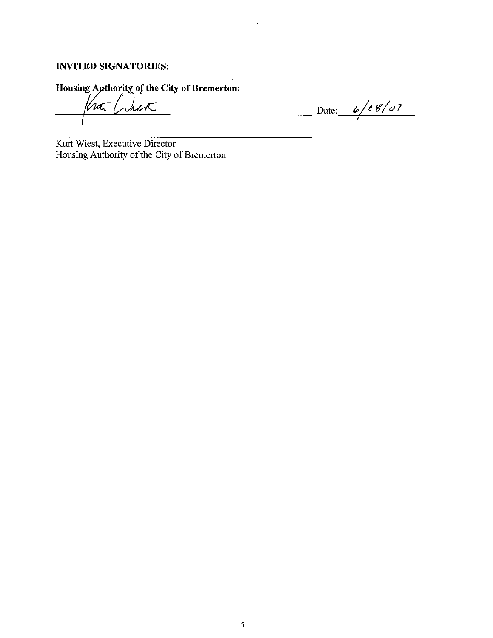# **INVITED SIGNATORIES:**

Housing Authority of the City of Bremerton:

 $\lambda$ ert  $\ln$ <sup>-</sup>/

 $\hat{\mathcal{L}}$ 

Date:  $6/28/07$ 

<u> 1999 - Jan Barnett</u>

 $\mathcal{L}^{\text{max}}$ 

Kurt Wiest, Executive Director Housing Authority of the City of Bremerton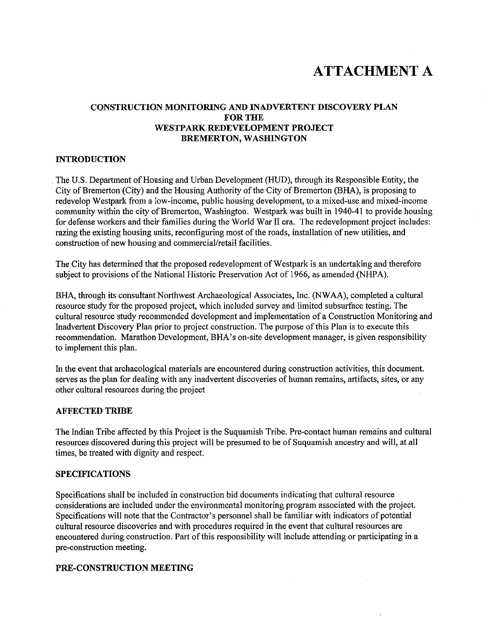# **ATTACHMENT A**

### **CONSTRUCTION MONITORING AND INADVERTENT DISCOVERY PLAN FOR THE** WESTPARK REDEVELOPMENT PROJECT **BREMERTON, WASHINGTON**

#### **INTRODUCTION**

The U.S. Department of Housing and Urban Development (HUD), through its Responsible Entity, the City of Bremerton (City) and the Housing Authority of the City of Bremerton (BHA), is proposing to redevelop Westpark from a low-income, public housing development, to a mixed-use and mixed-income community within the city of Bremerton, Washington. Westpark was built in 1940-41 to provide housing for defense workers and their families during the World War II era. The redevelopment project includes: razing the existing housing units, reconfiguring most of the roads, installation of new utilities, and construction of new housing and commercial/retail facilities.

The City has determined that the proposed redevelopment of Westpark is an undertaking and therefore subject to provisions of the National Historic Preservation Act of 1966, as amended (NHPA).

BHA, through its consultant Northwest Archaeological Associates, Inc. (NWAA), completed a cultural resource study for the proposed project, which included survey and limited subsurface testing. The cultural resource study recommended development and implementation of a Construction Monitoring and Inadvertent Discovery Plan prior to project construction. The purpose of this Plan is to execute this recommendation. Marathon Development, BHA's on-site development manager, is given responsibility to implement this plan.

In the event that archaeological materials are encountered during construction activities, this document. serves as the plan for dealing with any inadvertent discoveries of human remains, artifacts, sites, or any other cultural resources during the project

#### **AFFECTED TRIBE**

The Indian Tribe affected by this Project is the Suquamish Tribe. Pre-contact human remains and cultural resources discovered during this project will be presumed to be of Suquamish ancestry and will, at all times, be treated with dignity and respect.

#### **SPECIFICATIONS**

Specifications shall be included in construction bid documents indicating that cultural resource considerations are included under the environmental monitoring program associated with the project. Specifications will note that the Contractor's personnel shall be familiar with indicators of potential cultural resource discoveries and with procedures required in the event that cultural resources are encountered during construction. Part of this responsibility will include attending or participating in a pre-construction meeting.

#### PRE-CONSTRUCTION MEETING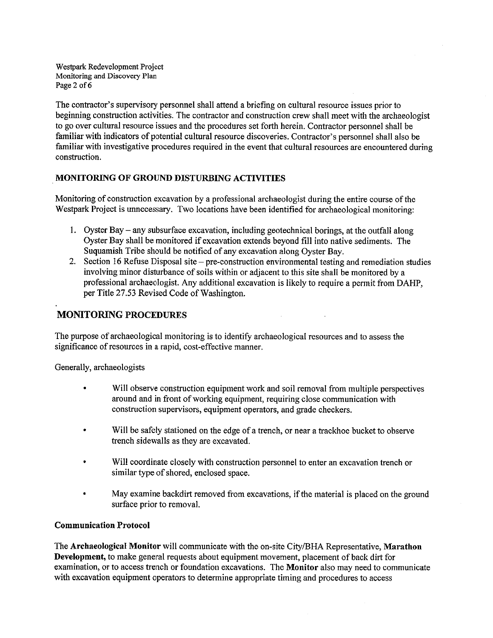Westpark Redevelopment Project Monitoring and Discovery Plan Page 2 of 6

The contractor's supervisory personnel shall attend a briefing on cultural resource issues prior to beginning construction activities. The contractor and construction crew shall meet with the archaeologist to go over cultural resource issues and the procedures set forth herein. Contractor personnel shall be familiar with indicators of potential cultural resource discoveries. Contractor's personnel shall also be familiar with investigative procedures required in the event that cultural resources are encountered during construction.

# **MONITORING OF GROUND DISTURBING ACTIVITIES**

Monitoring of construction excavation by a professional archaeologist during the entire course of the Westpark Project is unnecessary. Two locations have been identified for archaeological monitoring:

- 1. Oyster Bay any subsurface excavation, including geotechnical borings, at the outfall along Oyster Bay shall be monitored if excavation extends beyond fill into native sediments. The Suquamish Tribe should be notified of any excavation along Oyster Bay.
- 2. Section 16 Refuse Disposal site pre-construction environmental testing and remediation studies involving minor disturbance of soils within or adjacent to this site shall be monitored by a professional archaeologist. Any additional excavation is likely to require a permit from DAHP. per Title 27.53 Revised Code of Washington.

 $\overline{a}$ 

# **MONITORING PROCEDURES**

The purpose of archaeological monitoring is to identify archaeological resources and to assess the significance of resources in a rapid, cost-effective manner.

Generally, archaeologists

- Will observe construction equipment work and soil removal from multiple perspectives  $\bullet$ around and in front of working equipment, requiring close communication with construction supervisors, equipment operators, and grade checkers.
- Will be safely stationed on the edge of a trench, or near a trackhoe bucket to observe trench sidewalls as they are excavated.
- Will coordinate closely with construction personnel to enter an excavation trench or similar type of shored, enclosed space.
- May examine backdirt removed from excavations, if the material is placed on the ground surface prior to removal.

#### **Communication Protocol**

The Archaeological Monitor will communicate with the on-site City/BHA Representative, Marathon Development, to make general requests about equipment movement, placement of back dirt for examination, or to access trench or foundation excavations. The Monitor also may need to communicate with excavation equipment operators to determine appropriate timing and procedures to access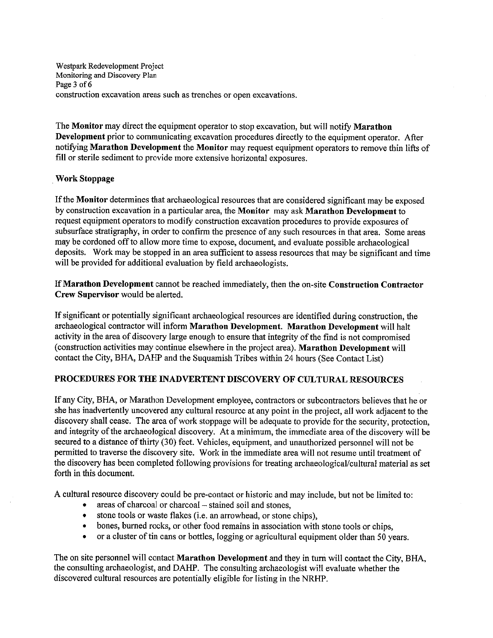Westpark Redevelopment Project Monitoring and Discovery Plan Page 3 of 6 construction excavation areas such as trenches or open excavations.

The Monitor may direct the equipment operator to stop excavation, but will notify Marathon **Development** prior to communicating excavation procedures directly to the equipment operator. After notifying Marathon Development the Monitor may request equipment operators to remove thin lifts of fill or sterile sediment to provide more extensive horizontal exposures.

#### **Work Stoppage**

If the Monitor determines that archaeological resources that are considered significant may be exposed by construction excavation in a particular area, the Monitor may ask Marathon Development to request equipment operators to modify construction excavation procedures to provide exposures of subsurface stratigraphy, in order to confirm the presence of any such resources in that area. Some areas may be cordoned off to allow more time to expose, document, and evaluate possible archaeological deposits. Work may be stopped in an area sufficient to assess resources that may be significant and time will be provided for additional evaluation by field archaeologists.

If Marathon Development cannot be reached immediately, then the on-site Construction Contractor Crew Supervisor would be alerted.

If significant or potentially significant archaeological resources are identified during construction, the archaeological contractor will inform Marathon Development. Marathon Development will halt activity in the area of discovery large enough to ensure that integrity of the find is not compromised (construction activities may continue elsewhere in the project area). Marathon Development will contact the City, BHA, DAHP and the Suquamish Tribes within 24 hours (See Contact List)

# PROCEDURES FOR THE INADVERTENT DISCOVERY OF CULTURAL RESOURCES

If any City, BHA, or Marathon Development employee, contractors or subcontractors believes that he or she has inadvertently uncovered any cultural resource at any point in the project, all work adjacent to the discovery shall cease. The area of work stoppage will be adequate to provide for the security, protection, and integrity of the archaeological discovery. At a minimum, the immediate area of the discovery will be secured to a distance of thirty (30) feet. Vehicles, equipment, and unauthorized personnel will not be permitted to traverse the discovery site. Work in the immediate area will not resume until treatment of the discovery has been completed following provisions for treating archaeological/cultural material as set forth in this document.

A cultural resource discovery could be pre-contact or historic and may include, but not be limited to:

- areas of charcoal or charcoal stained soil and stones,
- stone tools or waste flakes (i.e. an arrowhead, or stone chips),  $\bullet$
- bones, burned rocks, or other food remains in association with stone tools or chips,  $\bullet$
- or a cluster of tin cans or bottles, logging or agricultural equipment older than 50 years.  $\bullet$

The on site personnel will contact Marathon Development and they in turn will contact the City, BHA, the consulting archaeologist, and DAHP. The consulting archaeologist will evaluate whether the discovered cultural resources are potentially eligible for listing in the NRHP.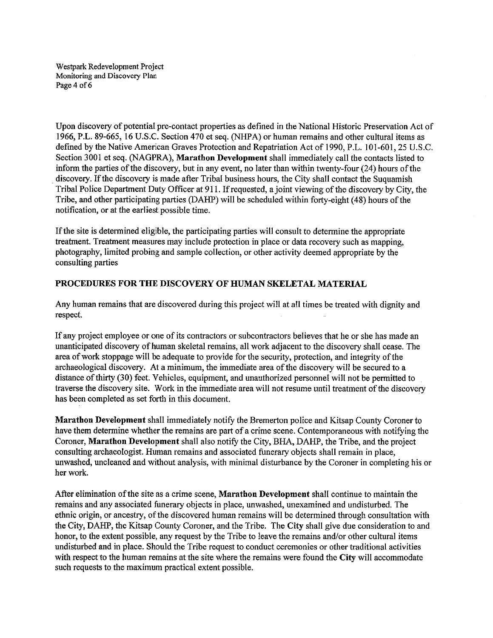Westpark Redevelopment Project Monitoring and Discovery Plan Page 4 of 6

Upon discovery of potential pre-contact properties as defined in the National Historic Preservation Act of 1966, P.L. 89-665, 16 U.S.C. Section 470 et seg. (NHPA) or human remains and other cultural items as defined by the Native American Graves Protection and Repatriation Act of 1990, P.L. 101-601, 25 U.S.C. Section 3001 et seq. (NAGPRA), Marathon Development shall immediately call the contacts listed to inform the parties of the discovery, but in any event, no later than within twenty-four (24) hours of the discovery. If the discovery is made after Tribal business hours, the City shall contact the Suquamish Tribal Police Department Duty Officer at 911. If requested, a joint viewing of the discovery by City, the Tribe, and other participating parties (DAHP) will be scheduled within forty-eight (48) hours of the notification, or at the earliest possible time.

If the site is determined eligible, the participating parties will consult to determine the appropriate treatment. Treatment measures may include protection in place or data recovery such as mapping, photography, limited probing and sample collection, or other activity deemed appropriate by the consulting parties

#### PROCEDURES FOR THE DISCOVERY OF HUMAN SKELETAL MATERIAL

Any human remains that are discovered during this project will at all times be treated with dignity and respect.

If any project employee or one of its contractors or subcontractors believes that he or she has made an unanticipated discovery of human skeletal remains, all work adjacent to the discovery shall cease. The area of work stoppage will be adequate to provide for the security, protection, and integrity of the archaeological discovery. At a minimum, the immediate area of the discovery will be secured to a distance of thirty (30) feet. Vehicles, equipment, and unauthorized personnel will not be permitted to traverse the discovery site. Work in the immediate area will not resume until treatment of the discovery has been completed as set forth in this document.

Marathon Development shall immediately notify the Bremerton police and Kitsap County Coroner to have them determine whether the remains are part of a crime scene. Contemporaneous with notifying the Coroner, Marathon Development shall also notify the City, BHA, DAHP, the Tribe, and the project consulting archaeologist. Human remains and associated funerary objects shall remain in place, unwashed, uncleaned and without analysis, with minimal disturbance by the Coroner in completing his or her work.

After elimination of the site as a crime scene, Marathon Development shall continue to maintain the remains and any associated funerary objects in place, unwashed, unexamined and undisturbed. The ethnic origin, or ancestry, of the discovered human remains will be determined through consultation with the City, DAHP, the Kitsap County Coroner, and the Tribe. The City shall give due consideration to and honor, to the extent possible, any request by the Tribe to leave the remains and/or other cultural items undisturbed and in place. Should the Tribe request to conduct ceremonies or other traditional activities with respect to the human remains at the site where the remains were found the City will accommodate such requests to the maximum practical extent possible.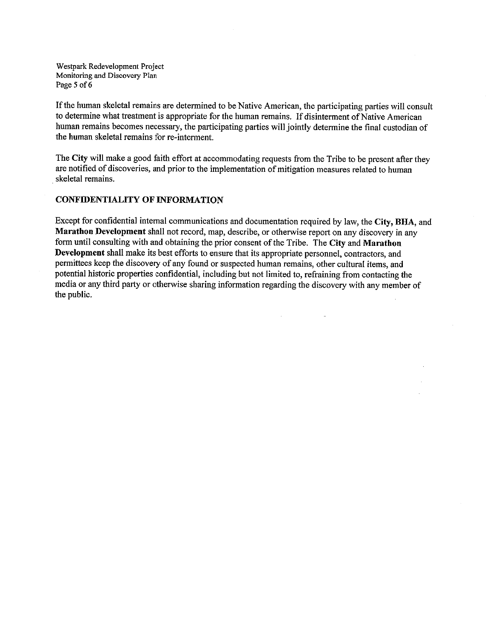Westpark Redevelopment Project Monitoring and Discovery Plan Page 5 of 6

If the human skeletal remains are determined to be Native American, the participating parties will consult to determine what treatment is appropriate for the human remains. If disinterment of Native American human remains becomes necessary, the participating parties will jointly determine the final custodian of the human skeletal remains for re-interment.

The City will make a good faith effort at accommodating requests from the Tribe to be present after they are notified of discoveries, and prior to the implementation of mitigation measures related to human skeletal remains.

#### **CONFIDENTIALITY OF INFORMATION**

Except for confidential internal communications and documentation required by law, the City, BHA, and Marathon Development shall not record, map, describe, or otherwise report on any discovery in any form until consulting with and obtaining the prior consent of the Tribe. The City and Marathon Development shall make its best efforts to ensure that its appropriate personnel, contractors, and permittees keep the discovery of any found or suspected human remains, other cultural items, and potential historic properties confidential, including but not limited to, refraining from contacting the media or any third party or otherwise sharing information regarding the discovery with any member of the public.

ú.

 $\ddot{\phantom{a}}$